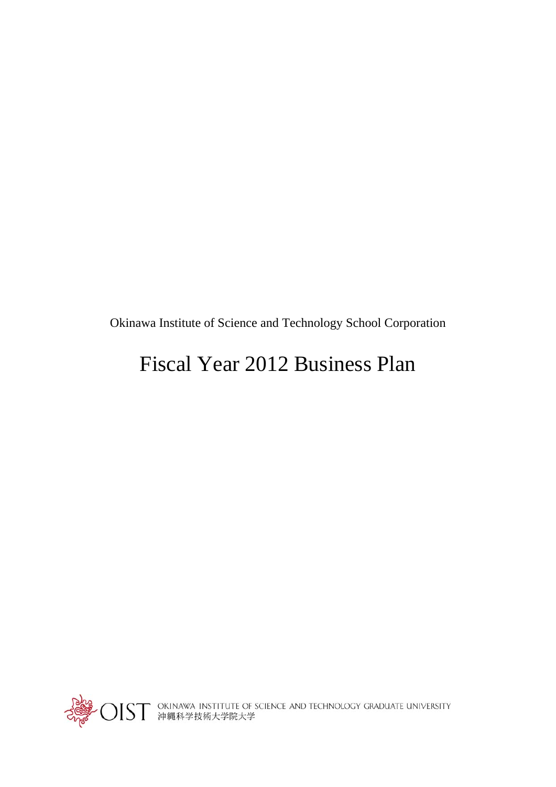Okinawa Institute of Science and Technology School Corporation

## Fiscal Year 2012 Business Plan



Poles<br>The ST okinawa Institute of Science and Technology Graduate UNIVERSITY<br>Coper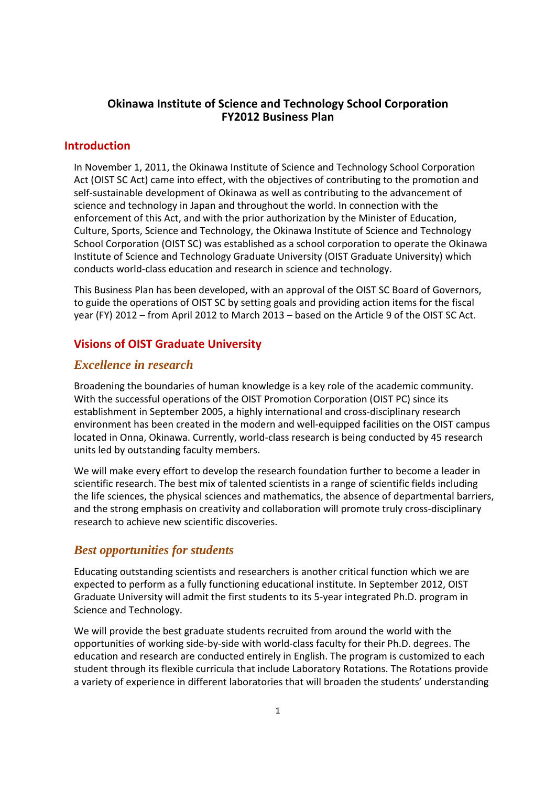## **Okinawa Institute of Science and Technology School Corporation FY2012 Business Plan**

## **Introduction**

In November 1, 2011, the Okinawa Institute of Science and Technology School Corporation Act (OIST SC Act) came into effect, with the objectives of contributing to the promotion and self‐sustainable development of Okinawa as well as contributing to the advancement of science and technology in Japan and throughout the world. In connection with the enforcement of this Act, and with the prior authorization by the Minister of Education, Culture, Sports, Science and Technology, the Okinawa Institute of Science and Technology School Corporation (OIST SC) was established as a school corporation to operate the Okinawa Institute of Science and Technology Graduate University (OIST Graduate University) which conducts world‐class education and research in science and technology.

This Business Plan has been developed, with an approval of the OIST SC Board of Governors, to guide the operations of OIST SC by setting goals and providing action items for the fiscal year (FY) 2012 – from April 2012 to March 2013 – based on the Article 9 of the OIST SC Act.

## **Visions of OIST Graduate University**

## *Excellence in research*

Broadening the boundaries of human knowledge is a key role of the academic community. With the successful operations of the OIST Promotion Corporation (OIST PC) since its establishment in September 2005, a highly international and cross-disciplinary research environment has been created in the modern and well-equipped facilities on the OIST campus located in Onna, Okinawa. Currently, world‐class research is being conducted by 45 research units led by outstanding faculty members.

We will make every effort to develop the research foundation further to become a leader in scientific research. The best mix of talented scientists in a range of scientific fields including the life sciences, the physical sciences and mathematics, the absence of departmental barriers, and the strong emphasis on creativity and collaboration will promote truly cross‐disciplinary research to achieve new scientific discoveries.

## *Best opportunities for students*

Educating outstanding scientists and researchers is another critical function which we are expected to perform as a fully functioning educational institute. In September 2012, OIST Graduate University will admit the first students to its 5‐year integrated Ph.D. program in Science and Technology.

We will provide the best graduate students recruited from around the world with the opportunities of working side‐by‐side with world‐class faculty for their Ph.D. degrees. The education and research are conducted entirely in English. The program is customized to each student through its flexible curricula that include Laboratory Rotations. The Rotations provide a variety of experience in different laboratories that will broaden the students' understanding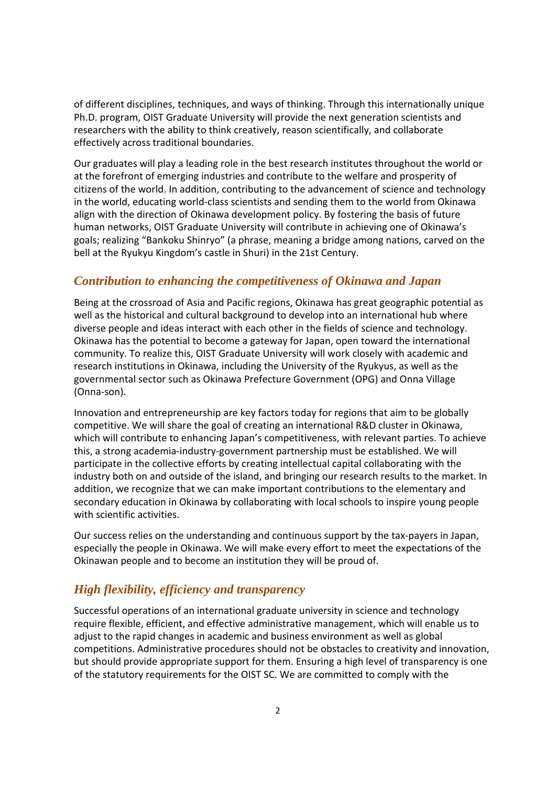of different disciplines, techniques, and ways of thinking. Through this internationally unique Ph.D. program, OIST Graduate University will provide the next generation scientists and researchers with the ability to think creatively, reason scientifically, and collaborate effectively across traditional boundaries.

Our graduates will play a leading role in the best research institutes throughout the world or at the forefront of emerging industries and contribute to the welfare and prosperity of citizens of the world. In addition, contributing to the advancement of science and technology in the world, educating world‐class scientists and sending them to the world from Okinawa align with the direction of Okinawa development policy. By fostering the basis of future human networks, OIST Graduate University will contribute in achieving one of Okinawa's goals; realizing "Bankoku Shinryo" (a phrase, meaning a bridge among nations, carved on the bell at the Ryukyu Kingdom's castle in Shuri) in the 21st Century.

## *Contribution to enhancing the competitiveness of Okinawa and Japan*

Being at the crossroad of Asia and Pacific regions, Okinawa has great geographic potential as well as the historical and cultural background to develop into an international hub where diverse people and ideas interact with each other in the fields of science and technology. Okinawa has the potential to become a gateway for Japan, open toward the international community. To realize this, OIST Graduate University will work closely with academic and research institutions in Okinawa, including the University of the Ryukyus, as well as the governmental sector such as Okinawa Prefecture Government (OPG) and Onna Village (Onna‐son).

Innovation and entrepreneurship are key factors today for regions that aim to be globally competitive. We will share the goal of creating an international R&D cluster in Okinawa, which will contribute to enhancing Japan's competitiveness, with relevant parties. To achieve this, a strong academia‐industry‐government partnership must be established. We will participate in the collective efforts by creating intellectual capital collaborating with the industry both on and outside of the island, and bringing our research results to the market. In addition, we recognize that we can make important contributions to the elementary and secondary education in Okinawa by collaborating with local schools to inspire young people with scientific activities.

Our success relies on the understanding and continuous support by the tax-payers in Japan, especially the people in Okinawa. We will make every effort to meet the expectations of the Okinawan people and to become an institution they will be proud of.

## *High flexibility, efficiency and transparency*

Successful operations of an international graduate university in science and technology require flexible, efficient, and effective administrative management, which will enable us to adjust to the rapid changes in academic and business environment as well as global competitions. Administrative procedures should not be obstacles to creativity and innovation, but should provide appropriate support for them. Ensuring a high level of transparency is one of the statutory requirements for the OIST SC. We are committed to comply with the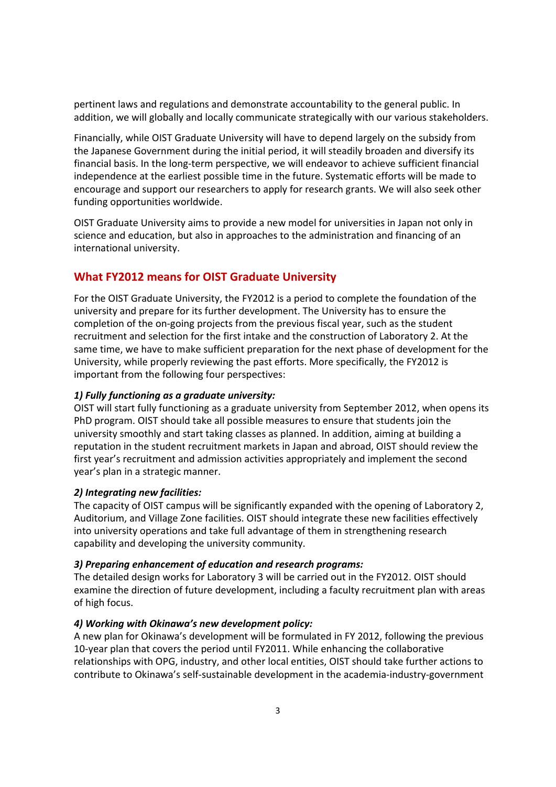pertinent laws and regulations and demonstrate accountability to the general public. In addition, we will globally and locally communicate strategically with our various stakeholders.

Financially, while OIST Graduate University will have to depend largely on the subsidy from the Japanese Government during the initial period, it will steadily broaden and diversify its financial basis. In the long‐term perspective, we will endeavor to achieve sufficient financial independence at the earliest possible time in the future. Systematic efforts will be made to encourage and support our researchers to apply for research grants. We will also seek other funding opportunities worldwide.

OIST Graduate University aims to provide a new model for universities in Japan not only in science and education, but also in approaches to the administration and financing of an international university.

## **What FY2012 means for OIST Graduate University**

For the OIST Graduate University, the FY2012 is a period to complete the foundation of the university and prepare for its further development. The University has to ensure the completion of the on‐going projects from the previous fiscal year, such as the student recruitment and selection for the first intake and the construction of Laboratory 2. At the same time, we have to make sufficient preparation for the next phase of development for the University, while properly reviewing the past efforts. More specifically, the FY2012 is important from the following four perspectives:

#### *1) Fully functioning as a graduate university:*

OIST will start fully functioning as a graduate university from September 2012, when opens its PhD program. OIST should take all possible measures to ensure that students join the university smoothly and start taking classes as planned. In addition, aiming at building a reputation in the student recruitment markets in Japan and abroad, OIST should review the first year's recruitment and admission activities appropriately and implement the second year's plan in a strategic manner.

#### *2) Integrating new facilities:*

The capacity of OIST campus will be significantly expanded with the opening of Laboratory 2, Auditorium, and Village Zone facilities. OIST should integrate these new facilities effectively into university operations and take full advantage of them in strengthening research capability and developing the university community.

#### *3) Preparing enhancement of education and research programs:*

The detailed design works for Laboratory 3 will be carried out in the FY2012. OIST should examine the direction of future development, including a faculty recruitment plan with areas of high focus.

#### *4) Working with Okinawa's new development policy:*

A new plan for Okinawa's development will be formulated in FY 2012, following the previous 10‐year plan that covers the period until FY2011. While enhancing the collaborative relationships with OPG, industry, and other local entities, OIST should take further actions to contribute to Okinawa's self‐sustainable development in the academia‐industry‐government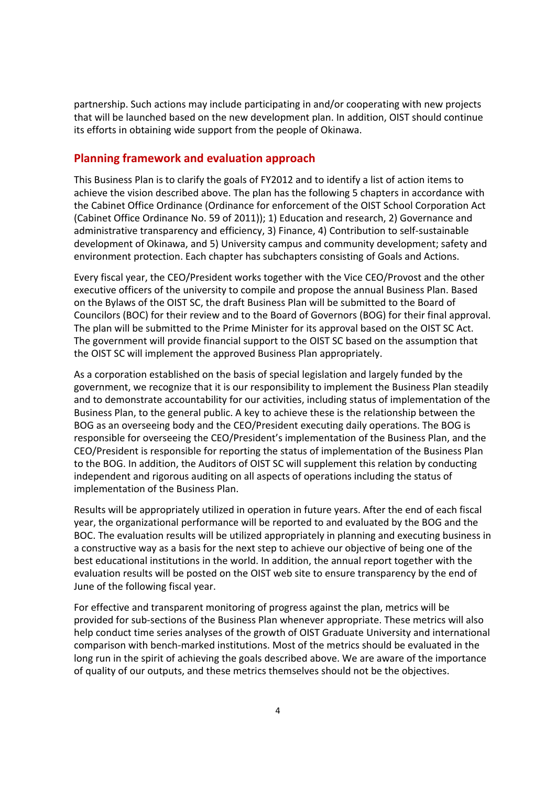partnership. Such actions may include participating in and/or cooperating with new projects that will be launched based on the new development plan. In addition, OIST should continue its efforts in obtaining wide support from the people of Okinawa.

## **Planning framework and evaluation approach**

This Business Plan is to clarify the goals of FY2012 and to identify a list of action items to achieve the vision described above. The plan has the following 5 chapters in accordance with the Cabinet Office Ordinance (Ordinance for enforcement of the OIST School Corporation Act (Cabinet Office Ordinance No. 59 of 2011)); 1) Education and research, 2) Governance and administrative transparency and efficiency, 3) Finance, 4) Contribution to self‐sustainable development of Okinawa, and 5) University campus and community development; safety and environment protection. Each chapter has subchapters consisting of Goals and Actions.

Every fiscal year, the CEO/President works together with the Vice CEO/Provost and the other executive officers of the university to compile and propose the annual Business Plan. Based on the Bylaws of the OIST SC, the draft Business Plan will be submitted to the Board of Councilors (BOC) for their review and to the Board of Governors (BOG) for their final approval. The plan will be submitted to the Prime Minister for its approval based on the OIST SC Act. The government will provide financial support to the OIST SC based on the assumption that the OIST SC will implement the approved Business Plan appropriately.

As a corporation established on the basis of special legislation and largely funded by the government, we recognize that it is our responsibility to implement the Business Plan steadily and to demonstrate accountability for our activities, including status of implementation of the Business Plan, to the general public. A key to achieve these is the relationship between the BOG as an overseeing body and the CEO/President executing daily operations. The BOG is responsible for overseeing the CEO/President's implementation of the Business Plan, and the CEO/President is responsible for reporting the status of implementation of the Business Plan to the BOG. In addition, the Auditors of OIST SC will supplement this relation by conducting independent and rigorous auditing on all aspects of operations including the status of implementation of the Business Plan.

Results will be appropriately utilized in operation in future years. After the end of each fiscal year, the organizational performance will be reported to and evaluated by the BOG and the BOC. The evaluation results will be utilized appropriately in planning and executing business in a constructive way as a basis for the next step to achieve our objective of being one of the best educational institutions in the world. In addition, the annual report together with the evaluation results will be posted on the OIST web site to ensure transparency by the end of June of the following fiscal year.

For effective and transparent monitoring of progress against the plan, metrics will be provided for sub‐sections of the Business Plan whenever appropriate. These metrics will also help conduct time series analyses of the growth of OIST Graduate University and international comparison with bench‐marked institutions. Most of the metrics should be evaluated in the long run in the spirit of achieving the goals described above. We are aware of the importance of quality of our outputs, and these metrics themselves should not be the objectives.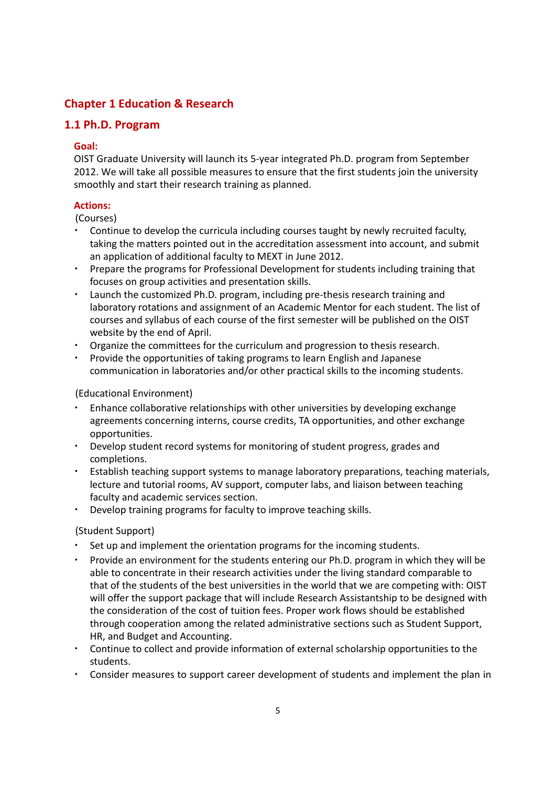## **Chapter 1 Education & Research**

## **1.1 Ph.D. Program**

#### **Goal:**

OIST Graduate University will launch its 5‐year integrated Ph.D. program from September 2012. We will take all possible measures to ensure that the first students join the university smoothly and start their research training as planned.

## **Actions:**

(Courses)

- Continue to develop the curricula including courses taught by newly recruited faculty, taking the matters pointed out in the accreditation assessment into account, and submit an application of additional faculty to MEXT in June 2012.
- ・ Prepare the programs for Professional Development for students including training that focuses on group activities and presentation skills.
- Launch the customized Ph.D. program, including pre-thesis research training and laboratory rotations and assignment of an Academic Mentor for each student. The list of courses and syllabus of each course of the first semester will be published on the OIST website by the end of April.
- Organize the committees for the curriculum and progression to thesis research.
- ・ Provide the opportunities of taking programs to learn English and Japanese communication in laboratories and/or other practical skills to the incoming students.

#### (Educational Environment)

- ・ Enhance collaborative relationships with other universities by developing exchange agreements concerning interns, course credits, TA opportunities, and other exchange opportunities.
- ・ Develop student record systems for monitoring of student progress, grades and completions.
- Establish teaching support systems to manage laboratory preparations, teaching materials, lecture and tutorial rooms, AV support, computer labs, and liaison between teaching faculty and academic services section.
- Develop training programs for faculty to improve teaching skills.

## (Student Support)

- Set up and implement the orientation programs for the incoming students.
- Provide an environment for the students entering our Ph.D. program in which they will be able to concentrate in their research activities under the living standard comparable to that of the students of the best universities in the world that we are competing with: OIST will offer the support package that will include Research Assistantship to be designed with the consideration of the cost of tuition fees. Proper work flows should be established through cooperation among the related administrative sections such as Student Support, HR, and Budget and Accounting.
- ・ Continue to collect and provide information of external scholarship opportunities to the students.
- ・ Consider measures to support career development of students and implement the plan in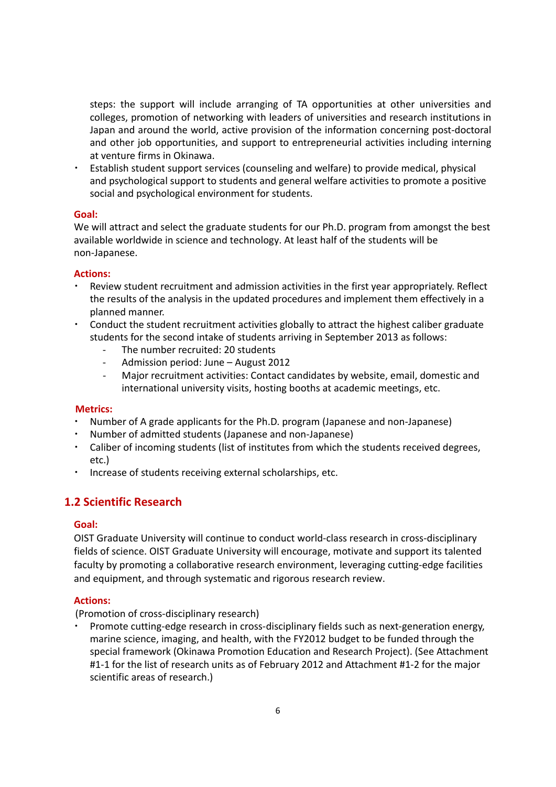steps: the support will include arranging of TA opportunities at other universities and colleges, promotion of networking with leaders of universities and research institutions in Japan and around the world, active provision of the information concerning post‐doctoral and other job opportunities, and support to entrepreneurial activities including interning at venture firms in Okinawa.

Establish student support services (counseling and welfare) to provide medical, physical and psychological support to students and general welfare activities to promote a positive social and psychological environment for students.

#### **Goal:**

We will attract and select the graduate students for our Ph.D. program from amongst the best available worldwide in science and technology. At least half of the students will be non‐Japanese.

#### **Actions:**

- ・ Review student recruitment and admission activities in the first year appropriately. Reflect the results of the analysis in the updated procedures and implement them effectively in a planned manner.
- Conduct the student recruitment activities globally to attract the highest caliber graduate students for the second intake of students arriving in September 2013 as follows:
	- The number recruited: 20 students
	- ‐ Admission period: June August 2012
	- ‐ Major recruitment activities: Contact candidates by website, email, domestic and international university visits, hosting booths at academic meetings, etc.

#### **Metrics:**

- Number of A grade applicants for the Ph.D. program (Japanese and non-Japanese)
- Number of admitted students (Japanese and non-Japanese)
- Caliber of incoming students (list of institutes from which the students received degrees, etc.)
- Increase of students receiving external scholarships, etc.

## **1.2 Scientific Research**

## **Goal:**

OIST Graduate University will continue to conduct world‐class research in cross‐disciplinary fields of science. OIST Graduate University will encourage, motivate and support its talented faculty by promoting a collaborative research environment, leveraging cutting-edge facilities and equipment, and through systematic and rigorous research review.

## **Actions:**

(Promotion of cross‐disciplinary research)

Promote cutting-edge research in cross-disciplinary fields such as next-generation energy, marine science, imaging, and health, with the FY2012 budget to be funded through the special framework (Okinawa Promotion Education and Research Project). (See Attachment #1‐1 for the list of research units as of February 2012 and Attachment #1‐2 for the major scientific areas of research.)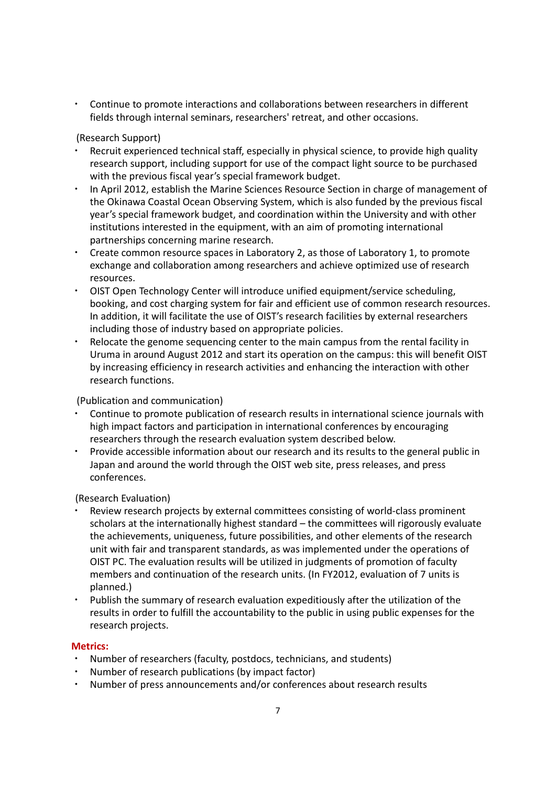・ Continue to promote interactions and collaborations between researchers in different fields through internal seminars, researchers' retreat, and other occasions.

(Research Support)

- Recruit experienced technical staff, especially in physical science, to provide high quality research support, including support for use of the compact light source to be purchased with the previous fiscal year's special framework budget.
- In April 2012, establish the Marine Sciences Resource Section in charge of management of the Okinawa Coastal Ocean Observing System, which is also funded by the previous fiscal year's special framework budget, and coordination within the University and with other institutions interested in the equipment, with an aim of promoting international partnerships concerning marine research.
- Create common resource spaces in Laboratory 2, as those of Laboratory 1, to promote exchange and collaboration among researchers and achieve optimized use of research resources.
- ・ OIST Open Technology Center will introduce unified equipment/service scheduling, booking, and cost charging system for fair and efficient use of common research resources. In addition, it will facilitate the use of OIST's research facilities by external researchers including those of industry based on appropriate policies.
- Relocate the genome sequencing center to the main campus from the rental facility in Uruma in around August 2012 and start its operation on the campus: this will benefit OIST by increasing efficiency in research activities and enhancing the interaction with other research functions.

(Publication and communication)

- Continue to promote publication of research results in international science journals with high impact factors and participation in international conferences by encouraging researchers through the research evaluation system described below.
- Provide accessible information about our research and its results to the general public in Japan and around the world through the OIST web site, press releases, and press conferences.

(Research Evaluation)

- Review research projects by external committees consisting of world-class prominent scholars at the internationally highest standard – the committees will rigorously evaluate the achievements, uniqueness, future possibilities, and other elements of the research unit with fair and transparent standards, as was implemented under the operations of OIST PC. The evaluation results will be utilized in judgments of promotion of faculty members and continuation of the research units. (In FY2012, evaluation of 7 units is planned.)
- Publish the summary of research evaluation expeditiously after the utilization of the results in order to fulfill the accountability to the public in using public expenses for the research projects.

#### **Metrics:**

- Number of researchers (faculty, postdocs, technicians, and students)
- Number of research publications (by impact factor)
- Number of press announcements and/or conferences about research results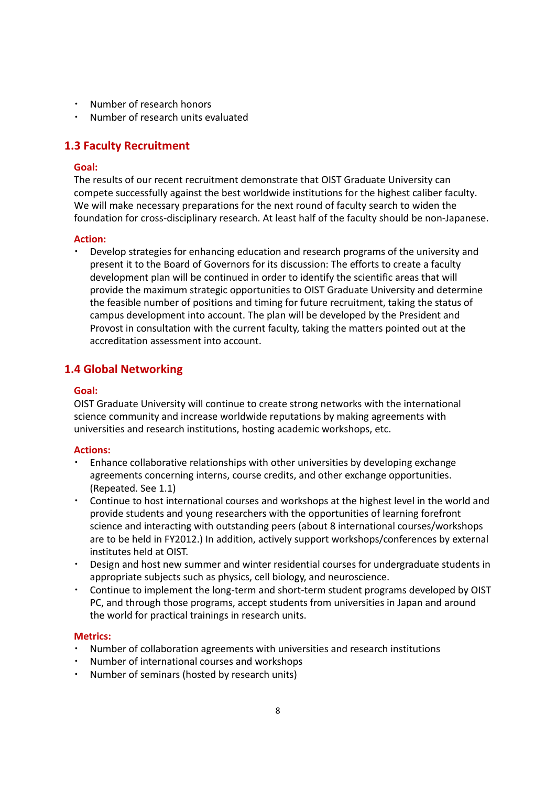- Number of research honors
- Number of research units evaluated

## **1.3 Faculty Recruitment**

#### **Goal:**

The results of our recent recruitment demonstrate that OIST Graduate University can compete successfully against the best worldwide institutions for the highest caliber faculty. We will make necessary preparations for the next round of faculty search to widen the foundation for cross‐disciplinary research. At least half of the faculty should be non‐Japanese.

#### **Action:**

Develop strategies for enhancing education and research programs of the university and present it to the Board of Governors for its discussion: The efforts to create a faculty development plan will be continued in order to identify the scientific areas that will provide the maximum strategic opportunities to OIST Graduate University and determine the feasible number of positions and timing for future recruitment, taking the status of campus development into account. The plan will be developed by the President and Provost in consultation with the current faculty, taking the matters pointed out at the accreditation assessment into account.

## **1.4 Global Networking**

## **Goal:**

OIST Graduate University will continue to create strong networks with the international science community and increase worldwide reputations by making agreements with universities and research institutions, hosting academic workshops, etc.

#### **Actions:**

- ・ Enhance collaborative relationships with other universities by developing exchange agreements concerning interns, course credits, and other exchange opportunities. (Repeated. See 1.1)
- Continue to host international courses and workshops at the highest level in the world and provide students and young researchers with the opportunities of learning forefront science and interacting with outstanding peers (about 8 international courses/workshops are to be held in FY2012.) In addition, actively support workshops/conferences by external institutes held at OIST.
- Design and host new summer and winter residential courses for undergraduate students in appropriate subjects such as physics, cell biology, and neuroscience.
- Continue to implement the long-term and short-term student programs developed by OIST PC, and through those programs, accept students from universities in Japan and around the world for practical trainings in research units.

#### **Metrics:**

- Number of collaboration agreements with universities and research institutions
- Number of international courses and workshops
- Number of seminars (hosted by research units)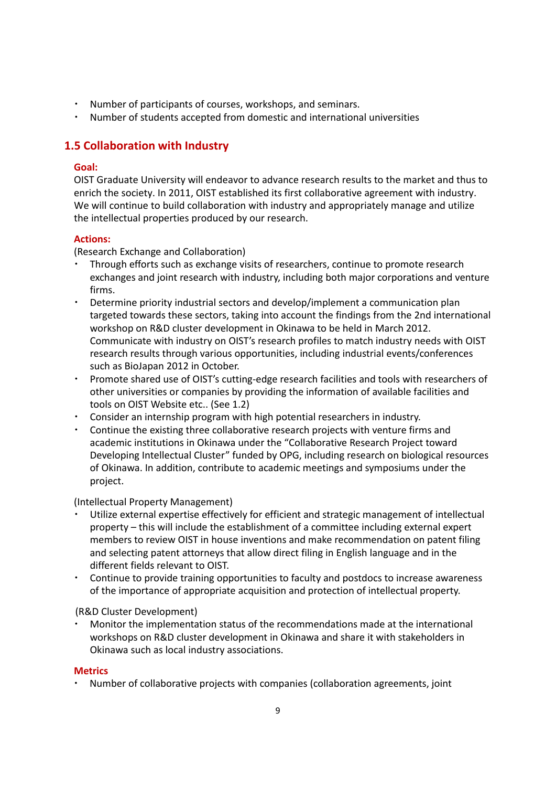- Number of participants of courses, workshops, and seminars.
- Number of students accepted from domestic and international universities

## **1.5 Collaboration with Industry**

## **Goal:**

OIST Graduate University will endeavor to advance research results to the market and thus to enrich the society. In 2011, OIST established its first collaborative agreement with industry. We will continue to build collaboration with industry and appropriately manage and utilize the intellectual properties produced by our research.

## **Actions:**

(Research Exchange and Collaboration)

- Through efforts such as exchange visits of researchers, continue to promote research exchanges and joint research with industry, including both major corporations and venture firms.
- Determine priority industrial sectors and develop/implement a communication plan targeted towards these sectors, taking into account the findings from the 2nd international workshop on R&D cluster development in Okinawa to be held in March 2012. Communicate with industry on OIST's research profiles to match industry needs with OIST research results through various opportunities, including industrial events/conferences such as BioJapan 2012 in October.
- Promote shared use of OIST's cutting-edge research facilities and tools with researchers of other universities or companies by providing the information of available facilities and tools on OIST Website etc.. (See 1.2)
- ・ Consider an internship program with high potential researchers in industry.
- Continue the existing three collaborative research projects with venture firms and academic institutions in Okinawa under the "Collaborative Research Project toward Developing Intellectual Cluster" funded by OPG, including research on biological resources of Okinawa. In addition, contribute to academic meetings and symposiums under the project.

## (Intellectual Property Management)

- Utilize external expertise effectively for efficient and strategic management of intellectual property – this will include the establishment of a committee including external expert members to review OIST in house inventions and make recommendation on patent filing and selecting patent attorneys that allow direct filing in English language and in the different fields relevant to OIST.
- Continue to provide training opportunities to faculty and postdocs to increase awareness of the importance of appropriate acquisition and protection of intellectual property.

## (R&D Cluster Development)

Monitor the implementation status of the recommendations made at the international workshops on R&D cluster development in Okinawa and share it with stakeholders in Okinawa such as local industry associations.

## **Metrics**

・ Number of collaborative projects with companies (collaboration agreements, joint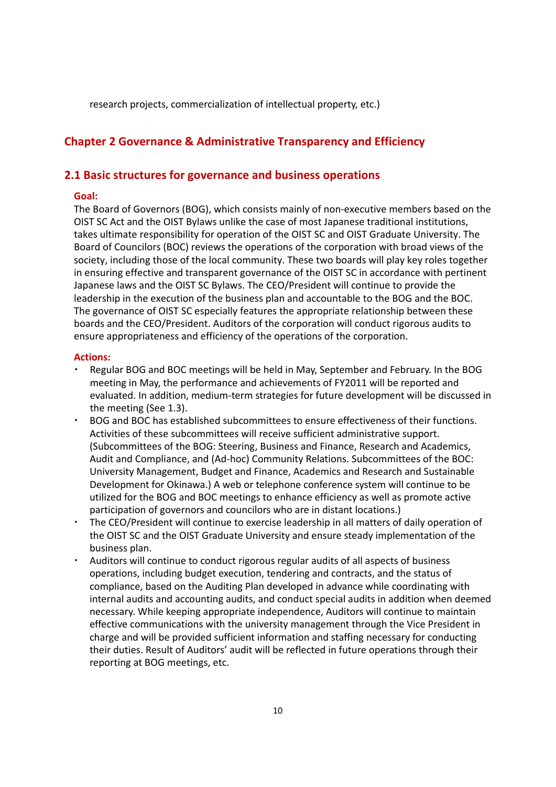research projects, commercialization of intellectual property, etc.)

## **Chapter 2 Governance & Administrative Transparency and Efficiency**

#### **2.1 Basic structures for governance and business operations**

#### **Goal:**

The Board of Governors (BOG), which consists mainly of non‐executive members based on the OIST SC Act and the OIST Bylaws unlike the case of most Japanese traditional institutions, takes ultimate responsibility for operation of the OIST SC and OIST Graduate University. The Board of Councilors (BOC) reviews the operations of the corporation with broad views of the society, including those of the local community. These two boards will play key roles together in ensuring effective and transparent governance of the OIST SC in accordance with pertinent Japanese laws and the OIST SC Bylaws. The CEO/President will continue to provide the leadership in the execution of the business plan and accountable to the BOG and the BOC. The governance of OIST SC especially features the appropriate relationship between these boards and the CEO/President. Auditors of the corporation will conduct rigorous audits to ensure appropriateness and efficiency of the operations of the corporation.

- Regular BOG and BOC meetings will be held in May, September and February. In the BOG meeting in May, the performance and achievements of FY2011 will be reported and evaluated. In addition, medium‐term strategies for future development will be discussed in the meeting (See 1.3).
- BOG and BOC has established subcommittees to ensure effectiveness of their functions. Activities of these subcommittees will receive sufficient administrative support. (Subcommittees of the BOG: Steering, Business and Finance, Research and Academics, Audit and Compliance, and (Ad‐hoc) Community Relations. Subcommittees of the BOC: University Management, Budget and Finance, Academics and Research and Sustainable Development for Okinawa.) A web or telephone conference system will continue to be utilized for the BOG and BOC meetings to enhance efficiency as well as promote active participation of governors and councilors who are in distant locations.)
- The CEO/President will continue to exercise leadership in all matters of daily operation of the OIST SC and the OIST Graduate University and ensure steady implementation of the business plan.
- Auditors will continue to conduct rigorous regular audits of all aspects of business operations, including budget execution, tendering and contracts, and the status of compliance, based on the Auditing Plan developed in advance while coordinating with internal audits and accounting audits, and conduct special audits in addition when deemed necessary. While keeping appropriate independence, Auditors will continue to maintain effective communications with the university management through the Vice President in charge and will be provided sufficient information and staffing necessary for conducting their duties. Result of Auditors' audit will be reflected in future operations through their reporting at BOG meetings, etc.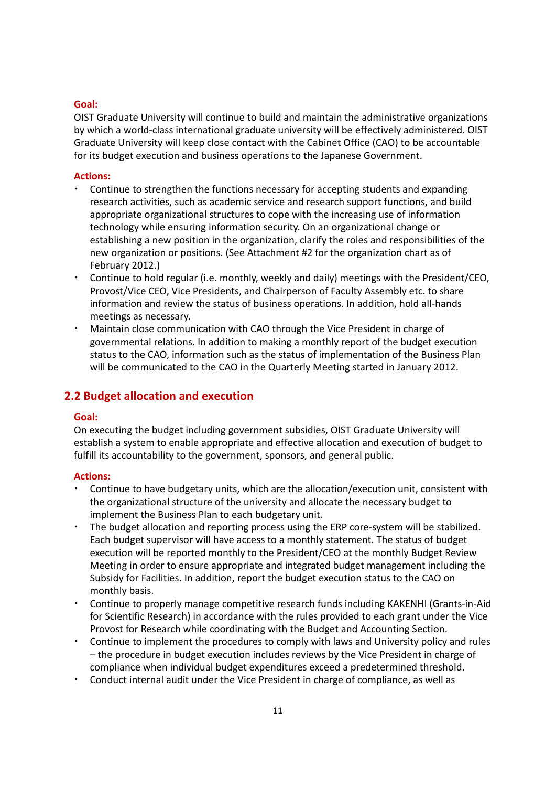#### **Goal:**

OIST Graduate University will continue to build and maintain the administrative organizations by which a world‐class international graduate university will be effectively administered. OIST Graduate University will keep close contact with the Cabinet Office (CAO) to be accountable for its budget execution and business operations to the Japanese Government.

#### **Actions:**

- Continue to strengthen the functions necessary for accepting students and expanding research activities, such as academic service and research support functions, and build appropriate organizational structures to cope with the increasing use of information technology while ensuring information security. On an organizational change or establishing a new position in the organization, clarify the roles and responsibilities of the new organization or positions. (See Attachment #2 for the organization chart as of February 2012.)
- Continue to hold regular (i.e. monthly, weekly and daily) meetings with the President/CEO, Provost/Vice CEO, Vice Presidents, and Chairperson of Faculty Assembly etc. to share information and review the status of business operations. In addition, hold all‐hands meetings as necessary.
- Maintain close communication with CAO through the Vice President in charge of governmental relations. In addition to making a monthly report of the budget execution status to the CAO, information such as the status of implementation of the Business Plan will be communicated to the CAO in the Quarterly Meeting started in January 2012.

## **2.2 Budget allocation and execution**

#### **Goal:**

On executing the budget including government subsidies, OIST Graduate University will establish a system to enable appropriate and effective allocation and execution of budget to fulfill its accountability to the government, sponsors, and general public.

- Continue to have budgetary units, which are the allocation/execution unit, consistent with the organizational structure of the university and allocate the necessary budget to implement the Business Plan to each budgetary unit.
- The budget allocation and reporting process using the ERP core-system will be stabilized. Each budget supervisor will have access to a monthly statement. The status of budget execution will be reported monthly to the President/CEO at the monthly Budget Review Meeting in order to ensure appropriate and integrated budget management including the Subsidy for Facilities. In addition, report the budget execution status to the CAO on monthly basis.
- ・ Continue to properly manage competitive research funds including KAKENHI (Grants‐in‐Aid for Scientific Research) in accordance with the rules provided to each grant under the Vice Provost for Research while coordinating with the Budget and Accounting Section.
- Continue to implement the procedures to comply with laws and University policy and rules – the procedure in budget execution includes reviews by the Vice President in charge of compliance when individual budget expenditures exceed a predetermined threshold.
- Conduct internal audit under the Vice President in charge of compliance, as well as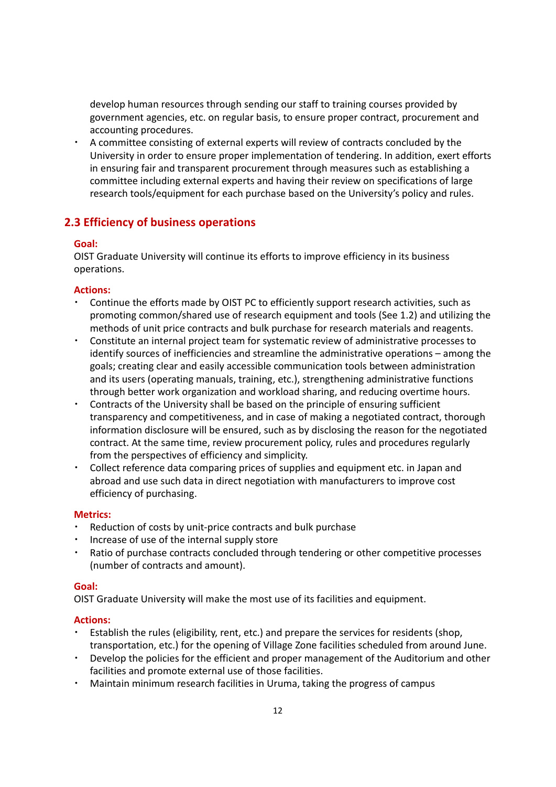develop human resources through sending our staff to training courses provided by government agencies, etc. on regular basis, to ensure proper contract, procurement and accounting procedures.

A committee consisting of external experts will review of contracts concluded by the University in order to ensure proper implementation of tendering. In addition, exert efforts in ensuring fair and transparent procurement through measures such as establishing a committee including external experts and having their review on specifications of large research tools/equipment for each purchase based on the University's policy and rules.

## **2.3 Efficiency of business operations**

#### **Goal:**

OIST Graduate University will continue its efforts to improve efficiency in its business operations.

#### **Actions:**

- Continue the efforts made by OIST PC to efficiently support research activities, such as promoting common/shared use of research equipment and tools (See 1.2) and utilizing the methods of unit price contracts and bulk purchase for research materials and reagents.
- ・ Constitute an internal project team for systematic review of administrative processes to identify sources of inefficiencies and streamline the administrative operations – among the goals; creating clear and easily accessible communication tools between administration and its users (operating manuals, training, etc.), strengthening administrative functions through better work organization and workload sharing, and reducing overtime hours.
- Contracts of the University shall be based on the principle of ensuring sufficient transparency and competitiveness, and in case of making a negotiated contract, thorough information disclosure will be ensured, such as by disclosing the reason for the negotiated contract. At the same time, review procurement policy, rules and procedures regularly from the perspectives of efficiency and simplicity.
- Collect reference data comparing prices of supplies and equipment etc. in Japan and abroad and use such data in direct negotiation with manufacturers to improve cost efficiency of purchasing.

#### **Metrics:**

- Reduction of costs by unit-price contracts and bulk purchase
- Increase of use of the internal supply store
- ・ Ratio of purchase contracts concluded through tendering or other competitive processes (number of contracts and amount).

#### **Goal:**

OIST Graduate University will make the most use of its facilities and equipment.

- ・ Establish the rules (eligibility, rent, etc.) and prepare the services for residents (shop, transportation, etc.) for the opening of Village Zone facilities scheduled from around June.
- Develop the policies for the efficient and proper management of the Auditorium and other facilities and promote external use of those facilities.
- Maintain minimum research facilities in Uruma, taking the progress of campus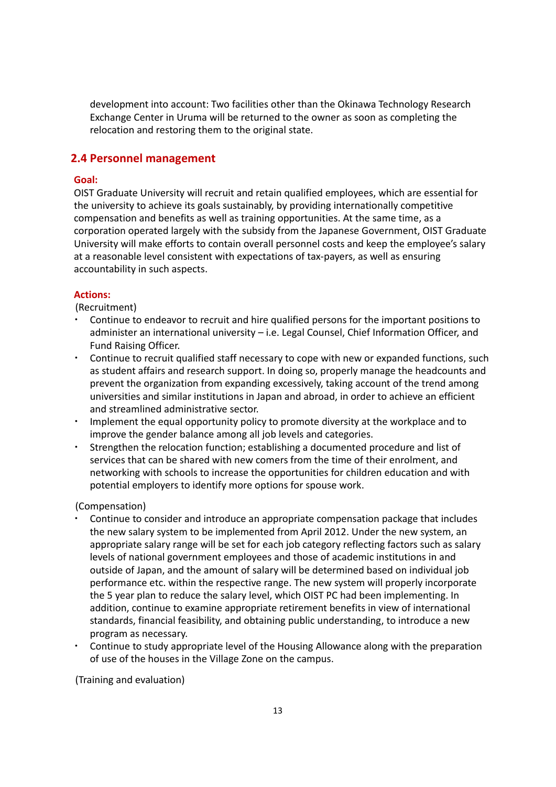development into account: Two facilities other than the Okinawa Technology Research Exchange Center in Uruma will be returned to the owner as soon as completing the relocation and restoring them to the original state.

## **2.4 Personnel management**

## **Goal:**

OIST Graduate University will recruit and retain qualified employees, which are essential for the university to achieve its goals sustainably, by providing internationally competitive compensation and benefits as well as training opportunities. At the same time, as a corporation operated largely with the subsidy from the Japanese Government, OIST Graduate University will make efforts to contain overall personnel costs and keep the employee's salary at a reasonable level consistent with expectations of tax‐payers, as well as ensuring accountability in such aspects.

#### **Actions:**

(Recruitment)

- Continue to endeavor to recruit and hire qualified persons for the important positions to administer an international university – i.e. Legal Counsel, Chief Information Officer, and Fund Raising Officer.
- ・ Continue to recruit qualified staff necessary to cope with new or expanded functions, such as student affairs and research support. In doing so, properly manage the headcounts and prevent the organization from expanding excessively, taking account of the trend among universities and similar institutions in Japan and abroad, in order to achieve an efficient and streamlined administrative sector.
- ・ Implement the equal opportunity policy to promote diversity at the workplace and to improve the gender balance among all job levels and categories.
- ・ Strengthen the relocation function; establishing a documented procedure and list of services that can be shared with new comers from the time of their enrolment, and networking with schools to increase the opportunities for children education and with potential employers to identify more options for spouse work.

## (Compensation)

- Continue to consider and introduce an appropriate compensation package that includes the new salary system to be implemented from April 2012. Under the new system, an appropriate salary range will be set for each job category reflecting factors such as salary levels of national government employees and those of academic institutions in and outside of Japan, and the amount of salary will be determined based on individual job performance etc. within the respective range. The new system will properly incorporate the 5 year plan to reduce the salary level, which OIST PC had been implementing. In addition, continue to examine appropriate retirement benefits in view of international standards, financial feasibility, and obtaining public understanding, to introduce a new program as necessary.
- Continue to study appropriate level of the Housing Allowance along with the preparation of use of the houses in the Village Zone on the campus.

(Training and evaluation)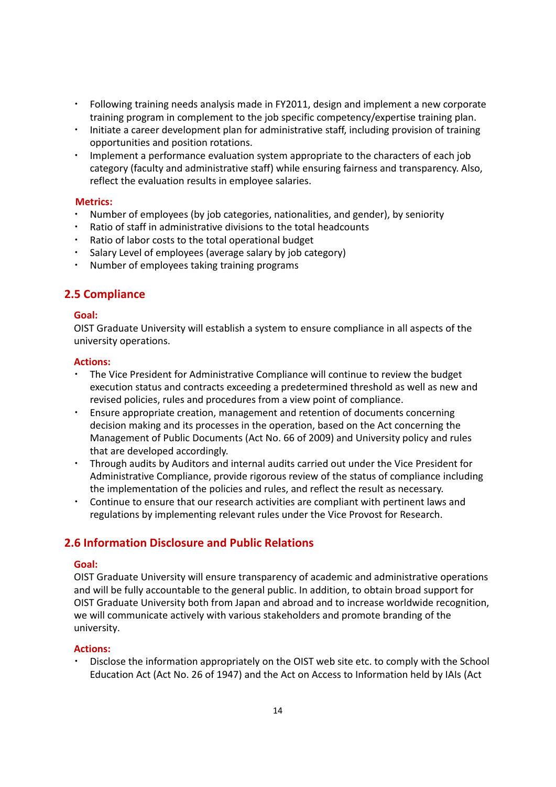- Following training needs analysis made in FY2011, design and implement a new corporate training program in complement to the job specific competency/expertise training plan.
- Initiate a career development plan for administrative staff, including provision of training opportunities and position rotations.
- Implement a performance evaluation system appropriate to the characters of each job category (faculty and administrative staff) while ensuring fairness and transparency. Also, reflect the evaluation results in employee salaries.

#### **Metrics:**

- Number of employees (by job categories, nationalities, and gender), by seniority
- Ratio of staff in administrative divisions to the total headcounts
- Ratio of labor costs to the total operational budget
- Salary Level of employees (average salary by job category)
- Number of employees taking training programs

## **2.5 Compliance**

#### **Goal:**

OIST Graduate University will establish a system to ensure compliance in all aspects of the university operations.

#### **Actions:**

- The Vice President for Administrative Compliance will continue to review the budget execution status and contracts exceeding a predetermined threshold as well as new and revised policies, rules and procedures from a view point of compliance.
- ・ Ensure appropriate creation, management and retention of documents concerning decision making and its processes in the operation, based on the Act concerning the Management of Public Documents (Act No. 66 of 2009) and University policy and rules that are developed accordingly.
- ・ Through audits by Auditors and internal audits carried out under the Vice President for Administrative Compliance, provide rigorous review of the status of compliance including the implementation of the policies and rules, and reflect the result as necessary.
- Continue to ensure that our research activities are compliant with pertinent laws and regulations by implementing relevant rules under the Vice Provost for Research.

## **2.6 Information Disclosure and Public Relations**

#### **Goal:**

OIST Graduate University will ensure transparency of academic and administrative operations and will be fully accountable to the general public. In addition, to obtain broad support for OIST Graduate University both from Japan and abroad and to increase worldwide recognition, we will communicate actively with various stakeholders and promote branding of the university.

## **Actions:**

Disclose the information appropriately on the OIST web site etc. to comply with the School Education Act (Act No. 26 of 1947) and the Act on Access to Information held by IAIs (Act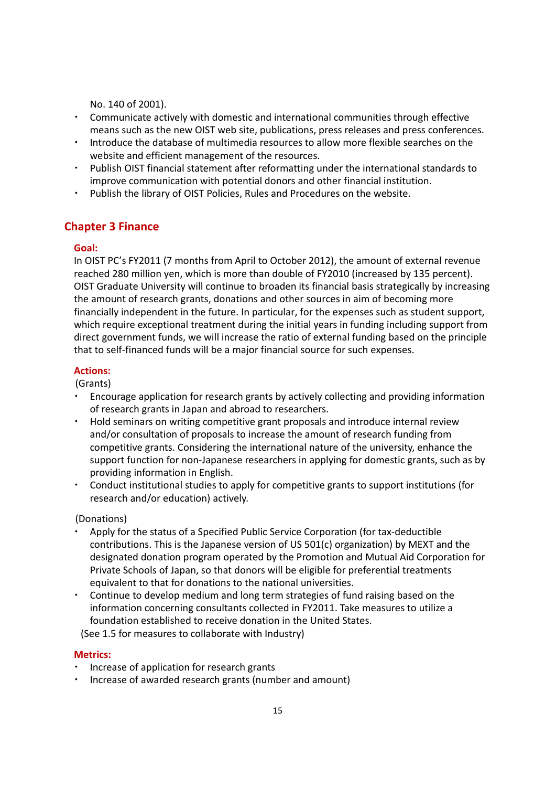No. 140 of 2001).

- ・ Communicate actively with domestic and international communities through effective means such as the new OIST web site, publications, press releases and press conferences.
- ・ Introduce the database of multimedia resources to allow more flexible searches on the website and efficient management of the resources.
- ・ Publish OIST financial statement after reformatting under the international standards to improve communication with potential donors and other financial institution.
- Publish the library of OIST Policies, Rules and Procedures on the website.

## **Chapter 3 Finance**

#### **Goal:**

In OIST PC's FY2011 (7 months from April to October 2012), the amount of external revenue reached 280 million yen, which is more than double of FY2010 (increased by 135 percent). OIST Graduate University will continue to broaden its financial basis strategically by increasing the amount of research grants, donations and other sources in aim of becoming more financially independent in the future. In particular, for the expenses such as student support, which require exceptional treatment during the initial years in funding including support from direct government funds, we will increase the ratio of external funding based on the principle that to self‐financed funds will be a major financial source for such expenses.

#### **Actions:**

(Grants)

- ・ Encourage application for research grants by actively collecting and providing information of research grants in Japan and abroad to researchers.
- Hold seminars on writing competitive grant proposals and introduce internal review and/or consultation of proposals to increase the amount of research funding from competitive grants. Considering the international nature of the university, enhance the support function for non‐Japanese researchers in applying for domestic grants, such as by providing information in English.
- ・ Conduct institutional studies to apply for competitive grants to support institutions (for research and/or education) actively.

(Donations)

- Apply for the status of a Specified Public Service Corporation (for tax-deductible contributions. This is the Japanese version of US 501(c) organization) by MEXT and the designated donation program operated by the Promotion and Mutual Aid Corporation for Private Schools of Japan, so that donors will be eligible for preferential treatments equivalent to that for donations to the national universities.
- Continue to develop medium and long term strategies of fund raising based on the information concerning consultants collected in FY2011. Take measures to utilize a foundation established to receive donation in the United States. (See 1.5 for measures to collaborate with Industry)

#### **Metrics:**

- ・ Increase of application for research grants
- ・ Increase of awarded research grants (number and amount)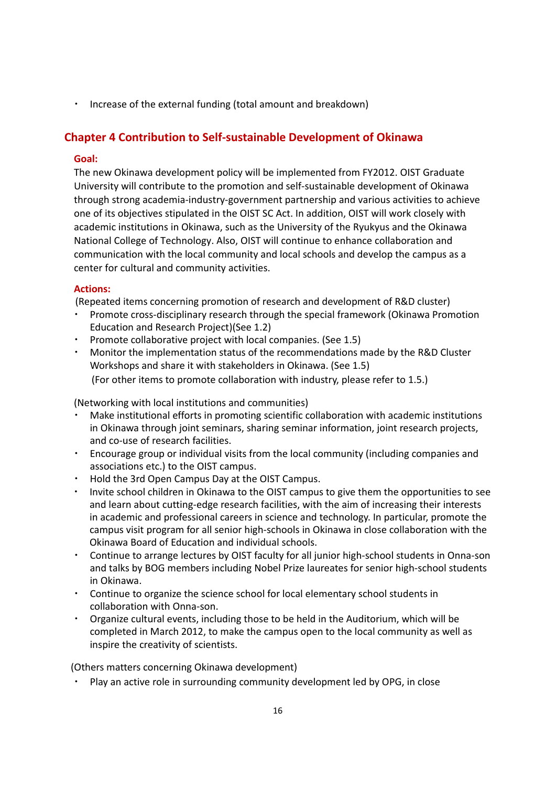・ Increase of the external funding (total amount and breakdown)

## **Chapter 4 Contribution to Self‐sustainable Development of Okinawa**

#### **Goal:**

The new Okinawa development policy will be implemented from FY2012. OIST Graduate University will contribute to the promotion and self‐sustainable development of Okinawa through strong academia‐industry‐government partnership and various activities to achieve one of its objectives stipulated in the OIST SC Act. In addition, OIST will work closely with academic institutions in Okinawa, such as the University of the Ryukyus and the Okinawa National College of Technology. Also, OIST will continue to enhance collaboration and communication with the local community and local schools and develop the campus as a center for cultural and community activities.

#### **Actions:**

(Repeated items concerning promotion of research and development of R&D cluster)

- Promote cross-disciplinary research through the special framework (Okinawa Promotion Education and Research Project)(See 1.2)
- Promote collaborative project with local companies. (See 1.5)
- Monitor the implementation status of the recommendations made by the R&D Cluster Workshops and share it with stakeholders in Okinawa. (See 1.5) (For other items to promote collaboration with industry, please refer to 1.5.)

(Networking with local institutions and communities)

- Make institutional efforts in promoting scientific collaboration with academic institutions in Okinawa through joint seminars, sharing seminar information, joint research projects, and co‐use of research facilities.
- ・ Encourage group or individual visits from the local community (including companies and associations etc.) to the OIST campus.
- ・ Hold the 3rd Open Campus Day at the OIST Campus.
- Invite school children in Okinawa to the OIST campus to give them the opportunities to see and learn about cutting‐edge research facilities, with the aim of increasing their interests in academic and professional careers in science and technology. In particular, promote the campus visit program for all senior high‐schools in Okinawa in close collaboration with the Okinawa Board of Education and individual schools.
- Continue to arrange lectures by OIST faculty for all junior high-school students in Onna-son and talks by BOG members including Nobel Prize laureates for senior high‐school students in Okinawa.
- Continue to organize the science school for local elementary school students in collaboration with Onna‐son.
- ・ Organize cultural events, including those to be held in the Auditorium, which will be completed in March 2012, to make the campus open to the local community as well as inspire the creativity of scientists.

(Others matters concerning Okinawa development)

・ Play an active role in surrounding community development led by OPG, in close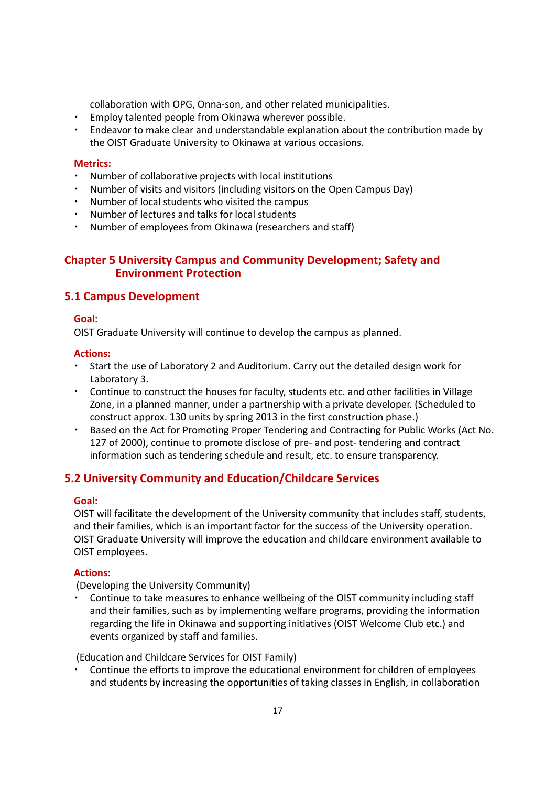collaboration with OPG, Onna‐son, and other related municipalities.

- Employ talented people from Okinawa wherever possible.
- Endeavor to make clear and understandable explanation about the contribution made by the OIST Graduate University to Okinawa at various occasions.

#### **Metrics:**

- Number of collaborative projects with local institutions
- Number of visits and visitors (including visitors on the Open Campus Day)
- Number of local students who visited the campus
- Number of lectures and talks for local students
- Number of employees from Okinawa (researchers and staff)

## **Chapter 5 University Campus and Community Development; Safety and Environment Protection**

## **5.1 Campus Development**

#### **Goal:**

OIST Graduate University will continue to develop the campus as planned.

#### **Actions:**

- ・ Start the use of Laboratory 2 and Auditorium. Carry out the detailed design work for Laboratory 3.
- ・ Continue to construct the houses for faculty, students etc. and other facilities in Village Zone, in a planned manner, under a partnership with a private developer. (Scheduled to construct approx. 130 units by spring 2013 in the first construction phase.)
- Based on the Act for Promoting Proper Tendering and Contracting for Public Works (Act No. 127 of 2000), continue to promote disclose of pre‐ and post‐ tendering and contract information such as tendering schedule and result, etc. to ensure transparency.

## **5.2 University Community and Education/Childcare Services**

#### **Goal:**

OIST will facilitate the development of the University community that includes staff, students, and their families, which is an important factor for the success of the University operation. OIST Graduate University will improve the education and childcare environment available to OIST employees.

## **Actions:**

(Developing the University Community)

Continue to take measures to enhance wellbeing of the OIST community including staff and their families, such as by implementing welfare programs, providing the information regarding the life in Okinawa and supporting initiatives (OIST Welcome Club etc.) and events organized by staff and families.

(Education and Childcare Services for OIST Family)

Continue the efforts to improve the educational environment for children of employees and students by increasing the opportunities of taking classes in English, in collaboration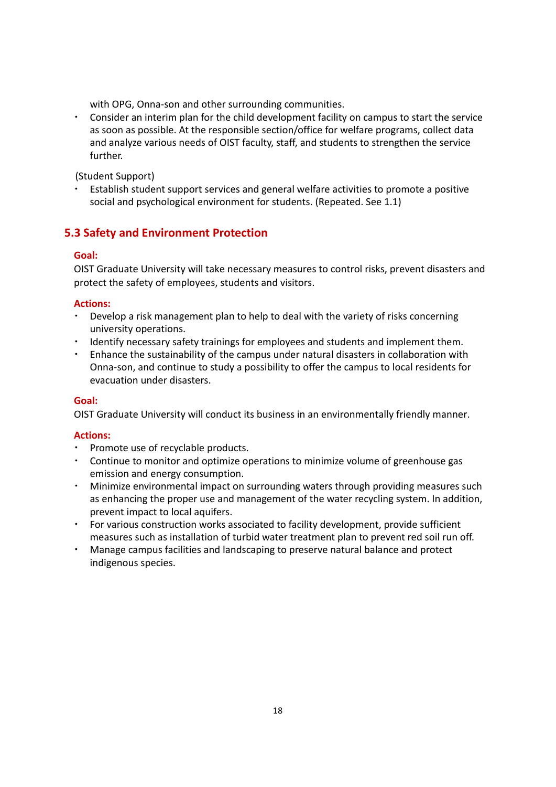with OPG, Onna-son and other surrounding communities.

・ Consider an interim plan for the child development facility on campus to start the service as soon as possible. At the responsible section/office for welfare programs, collect data and analyze various needs of OIST faculty, staff, and students to strengthen the service further.

(Student Support)

Establish student support services and general welfare activities to promote a positive social and psychological environment for students. (Repeated. See 1.1)

## **5.3 Safety and Environment Protection**

## **Goal:**

OIST Graduate University will take necessary measures to control risks, prevent disasters and protect the safety of employees, students and visitors.

#### **Actions:**

- Develop a risk management plan to help to deal with the variety of risks concerning university operations.
- Identify necessary safety trainings for employees and students and implement them.
- ・ Enhance the sustainability of the campus under natural disasters in collaboration with Onna‐son, and continue to study a possibility to offer the campus to local residents for evacuation under disasters.

## **Goal:**

OIST Graduate University will conduct its business in an environmentally friendly manner.

- ・ Promote use of recyclable products.
- ・ Continue to monitor and optimize operations to minimize volume of greenhouse gas emission and energy consumption.
- Minimize environmental impact on surrounding waters through providing measures such as enhancing the proper use and management of the water recycling system. In addition, prevent impact to local aquifers.
- For various construction works associated to facility development, provide sufficient measures such as installation of turbid water treatment plan to prevent red soil run off.
- Manage campus facilities and landscaping to preserve natural balance and protect indigenous species.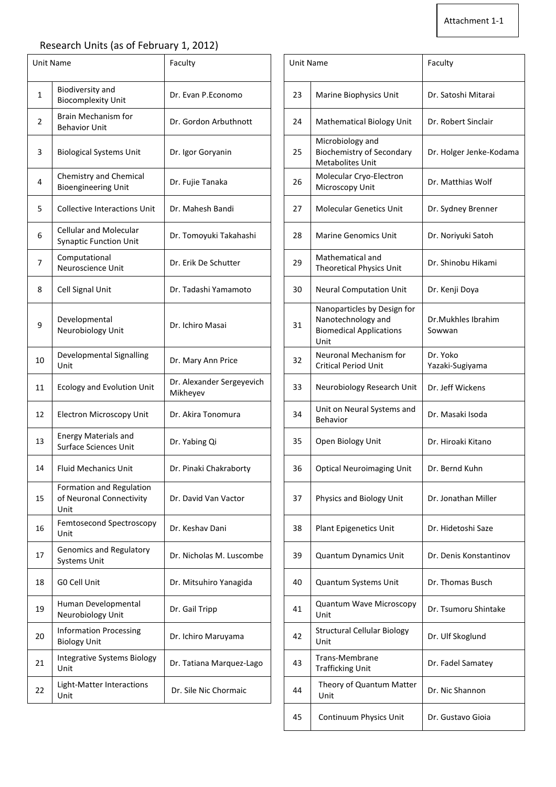## Research Units (as of February 1, 2012)

| <b>Unit Name</b> |                                                                | Faculty                               | <b>Unit Name</b> |                                                                                             | Faculty                      |
|------------------|----------------------------------------------------------------|---------------------------------------|------------------|---------------------------------------------------------------------------------------------|------------------------------|
| 1                | <b>Biodiversity and</b><br><b>Biocomplexity Unit</b>           | Dr. Evan P.Economo                    | 23               | Marine Biophysics Unit                                                                      | Dr. Satoshi Mitarai          |
| $\overline{2}$   | Brain Mechanism for<br><b>Behavior Unit</b>                    | Dr. Gordon Arbuthnott                 | 24               | <b>Mathematical Biology Unit</b>                                                            | Dr. Robert Sinclair          |
| 3                | <b>Biological Systems Unit</b>                                 | Dr. Igor Goryanin                     | 25               | Microbiology and<br><b>Biochemistry of Secondary</b><br>Metabolites Unit                    | Dr. Holger Jenke-Ko          |
| 4                | Chemistry and Chemical<br><b>Bioengineering Unit</b>           | Dr. Fujie Tanaka                      | 26               | Molecular Cryo-Electron<br>Microscopy Unit                                                  | Dr. Matthias Wolf            |
| 5                | <b>Collective Interactions Unit</b>                            | Dr. Mahesh Bandi                      | 27               | <b>Molecular Genetics Unit</b>                                                              | Dr. Sydney Brenner           |
| 6                | <b>Cellular and Molecular</b><br><b>Synaptic Function Unit</b> | Dr. Tomoyuki Takahashi                | 28               | <b>Marine Genomics Unit</b>                                                                 | Dr. Noriyuki Satoh           |
| 7                | Computational<br>Neuroscience Unit                             | Dr. Erik De Schutter                  | 29               | Mathematical and<br>Theoretical Physics Unit                                                | Dr. Shinobu Hikami           |
| 8                | Cell Signal Unit                                               | Dr. Tadashi Yamamoto                  | 30               | <b>Neural Computation Unit</b>                                                              | Dr. Kenji Doya               |
| 9                | Developmental<br>Neurobiology Unit                             | Dr. Ichiro Masai                      | 31               | Nanoparticles by Design for<br>Nanotechnology and<br><b>Biomedical Applications</b><br>Unit | Dr.Mukhles Ibrahin<br>Sowwan |
| 10               | Developmental Signalling<br>Unit                               | Dr. Mary Ann Price                    | 32               | Neuronal Mechanism for<br><b>Critical Period Unit</b>                                       | Dr. Yoko<br>Yazaki-Sugiyama  |
| 11               | <b>Ecology and Evolution Unit</b>                              | Dr. Alexander Sergeyevich<br>Mikheyev | 33               | Neurobiology Research Unit                                                                  | Dr. Jeff Wickens             |
| 12               | <b>Electron Microscopy Unit</b>                                | Dr. Akira Tonomura                    | 34               | Unit on Neural Systems and<br>Behavior                                                      | Dr. Masaki Isoda             |
| 13               | <b>Energy Materials and</b><br>Surface Sciences Unit           | Dr. Yabing Qi                         | 35               | Open Biology Unit                                                                           | Dr. Hiroaki Kitano           |
| 14               | <b>Fluid Mechanics Unit</b>                                    | Dr. Pinaki Chakraborty                | 36               | <b>Optical Neuroimaging Unit</b>                                                            | Dr. Bernd Kuhn               |
| 15               | Formation and Regulation<br>of Neuronal Connectivity<br>Unit   | Dr. David Van Vactor                  | 37               | Physics and Biology Unit                                                                    | Dr. Jonathan Miller          |
| 16               | Femtosecond Spectroscopy<br>Unit                               | Dr. Keshav Dani                       | 38               | Plant Epigenetics Unit                                                                      | Dr. Hidetoshi Saze           |
| 17               | Genomics and Regulatory<br><b>Systems Unit</b>                 | Dr. Nicholas M. Luscombe              | 39               | <b>Quantum Dynamics Unit</b>                                                                | Dr. Denis Konstanti          |
| 18               | G0 Cell Unit                                                   | Dr. Mitsuhiro Yanagida                | 40               | Quantum Systems Unit                                                                        | Dr. Thomas Busch             |
| 19               | Human Developmental<br>Neurobiology Unit                       | Dr. Gail Tripp                        | 41               | Quantum Wave Microscopy<br>Unit                                                             | Dr. Tsumoru Shinta           |
| 20               | <b>Information Processing</b><br><b>Biology Unit</b>           | Dr. Ichiro Maruyama                   | 42               | <b>Structural Cellular Biology</b><br>Unit                                                  | Dr. Ulf Skoglund             |
| 21               | <b>Integrative Systems Biology</b><br>Unit                     | Dr. Tatiana Marquez-Lago              | 43               | Trans-Membrane<br><b>Trafficking Unit</b>                                                   | Dr. Fadel Samatey            |
| 22               | Light-Matter Interactions<br>Unit                              | Dr. Sile Nic Chormaic                 | 44               | Theory of Quantum Matter<br>Unit                                                            | Dr. Nic Shannon              |
|                  |                                                                |                                       |                  |                                                                                             |                              |

| Faculty                               |    |                                                                                             | Faculty                      |  |
|---------------------------------------|----|---------------------------------------------------------------------------------------------|------------------------------|--|
| Dr. Evan P. Economo                   | 23 | Marine Biophysics Unit                                                                      | Dr. Satoshi Mitarai          |  |
| Dr. Gordon Arbuthnott                 | 24 | <b>Mathematical Biology Unit</b>                                                            | Dr. Robert Sinclair          |  |
| Dr. Igor Goryanin                     | 25 | Microbiology and<br><b>Biochemistry of Secondary</b><br><b>Metabolites Unit</b>             | Dr. Holger Jenke-Kodama      |  |
| Dr. Fujie Tanaka                      | 26 | Molecular Cryo-Electron<br>Microscopy Unit                                                  | Dr. Matthias Wolf            |  |
| Dr. Mahesh Bandi                      | 27 | <b>Molecular Genetics Unit</b>                                                              | Dr. Sydney Brenner           |  |
| Dr. Tomoyuki Takahashi                | 28 | <b>Marine Genomics Unit</b>                                                                 | Dr. Noriyuki Satoh           |  |
| Dr. Erik De Schutter                  | 29 | Mathematical and<br>Theoretical Physics Unit                                                | Dr. Shinobu Hikami           |  |
| Dr. Tadashi Yamamoto                  | 30 | <b>Neural Computation Unit</b>                                                              | Dr. Kenji Doya               |  |
| Dr. Ichiro Masai                      | 31 | Nanoparticles by Design for<br>Nanotechnology and<br><b>Biomedical Applications</b><br>Unit | Dr.Mukhles Ibrahim<br>Sowwan |  |
| Dr. Mary Ann Price                    | 32 | Neuronal Mechanism for<br><b>Critical Period Unit</b>                                       | Dr. Yoko<br>Yazaki-Sugiyama  |  |
| Dr. Alexander Sergeyevich<br>Mikheyev | 33 | Neurobiology Research Unit                                                                  | Dr. Jeff Wickens             |  |
| Dr. Akira Tonomura                    | 34 | Unit on Neural Systems and<br>Behavior                                                      | Dr. Masaki Isoda             |  |
| Dr. Yabing Qi                         | 35 | Open Biology Unit                                                                           | Dr. Hiroaki Kitano           |  |
| Dr. Pinaki Chakraborty                | 36 | <b>Optical Neuroimaging Unit</b>                                                            | Dr. Bernd Kuhn               |  |
| Dr. David Van Vactor                  | 37 | Physics and Biology Unit                                                                    | Dr. Jonathan Miller          |  |
| Dr. Keshav Dani                       | 38 | <b>Plant Epigenetics Unit</b>                                                               | Dr. Hidetoshi Saze           |  |
| Dr. Nicholas M. Luscombe              | 39 | <b>Quantum Dynamics Unit</b>                                                                | Dr. Denis Konstantinov       |  |
| Dr. Mitsuhiro Yanagida                | 40 | Quantum Systems Unit                                                                        | Dr. Thomas Busch             |  |
| Dr. Gail Tripp                        | 41 | <b>Quantum Wave Microscopy</b><br>Unit                                                      | Dr. Tsumoru Shintake         |  |
| Dr. Ichiro Maruyama                   | 42 | <b>Structural Cellular Biology</b><br>Unit                                                  | Dr. Ulf Skoglund             |  |
| Dr. Tatiana Marquez-Lago              | 43 | Trans-Membrane<br><b>Trafficking Unit</b>                                                   | Dr. Fadel Samatey            |  |
| Dr. Sile Nic Chormaic                 | 44 | Theory of Quantum Matter<br>Unit                                                            | Dr. Nic Shannon              |  |
|                                       | 45 | Continuum Physics Unit                                                                      | Dr. Gustavo Gioia            |  |
|                                       |    |                                                                                             | <b>Unit Name</b>             |  |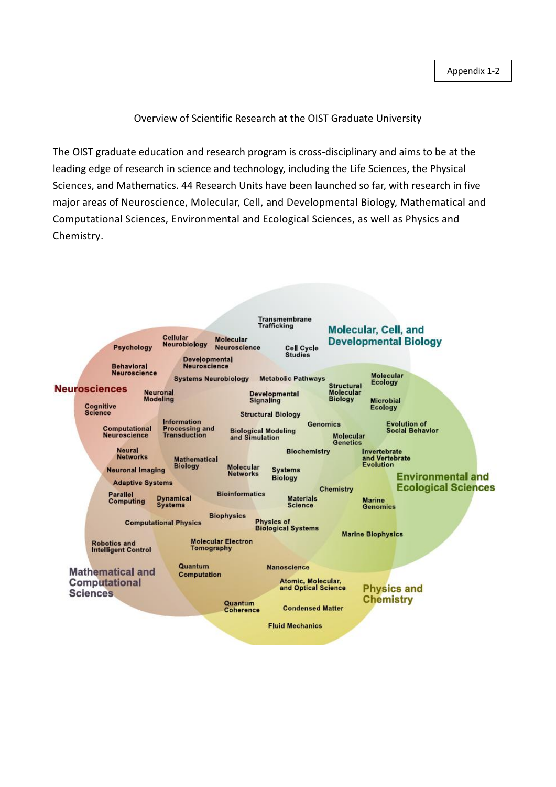## Overview of Scientific Research at the OIST Graduate University

The OIST graduate education and research program is cross-disciplinary and aims to be at the leading edge of research in science and technology, including the Life Sciences, the Physical Sciences, and Mathematics. 44 Research Units have been launched so far, with research in five major areas of Neuroscience, Molecular, Cell, and Developmental Biology, Mathematical and Computational Sciences, Environmental and Ecological Sciences, as well as Physics and Chemistry.

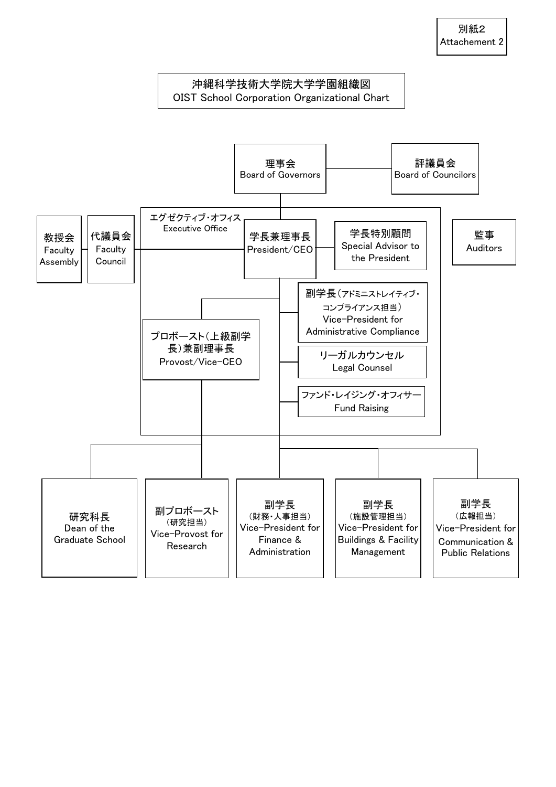## 沖縄科学技術大学院大学学園組織図 OIST School Corporation Organizational Chart

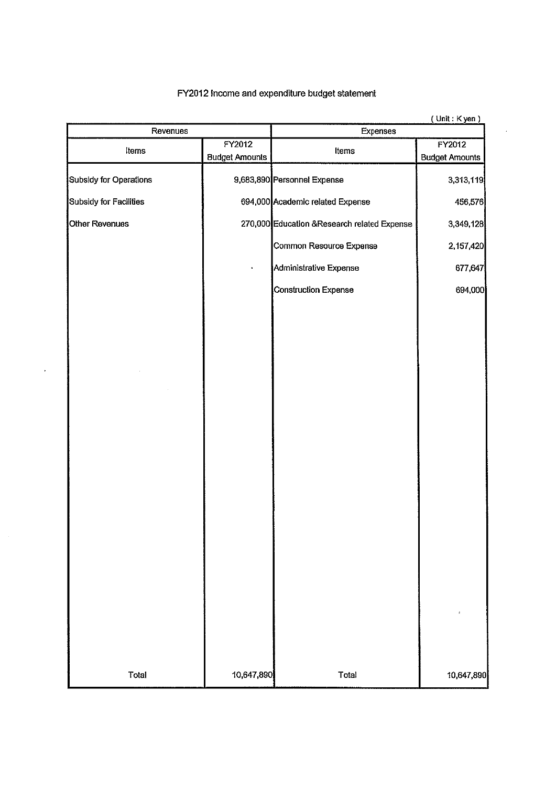## FY2012 Income and expenditure budget statement

| Revenues               |                       | (UNIL: NYBN)<br>Expenses                     |                       |  |  |
|------------------------|-----------------------|----------------------------------------------|-----------------------|--|--|
| FY2012                 |                       |                                              | FY2012                |  |  |
| Items                  | <b>Budget Amounts</b> | Items                                        | <b>Budget Amounts</b> |  |  |
|                        |                       |                                              |                       |  |  |
| Subsidy for Operations |                       | 9,683,890 Personnel Expense                  | 3,313,119             |  |  |
| Subsidy for Facilities |                       | 694,000 Academic related Expense             | 456,576               |  |  |
| Other Revenues         |                       | 270,000 Education & Research related Expense | 3.349,128             |  |  |
|                        |                       | <b>Common Resource Expense</b>               | 2,157,420             |  |  |
|                        |                       | Administrative Expense                       | 677,647               |  |  |
|                        |                       | Construction Expense                         | 694,000               |  |  |
|                        |                       |                                              |                       |  |  |
|                        |                       |                                              |                       |  |  |
|                        |                       |                                              |                       |  |  |
|                        |                       |                                              |                       |  |  |
|                        |                       |                                              |                       |  |  |
|                        |                       |                                              |                       |  |  |
|                        |                       |                                              |                       |  |  |
|                        |                       |                                              |                       |  |  |
|                        |                       |                                              |                       |  |  |
|                        |                       |                                              |                       |  |  |
|                        |                       |                                              |                       |  |  |
|                        |                       |                                              |                       |  |  |
|                        |                       |                                              |                       |  |  |
|                        |                       |                                              |                       |  |  |
|                        |                       |                                              |                       |  |  |
|                        |                       |                                              |                       |  |  |
|                        |                       |                                              |                       |  |  |
| Total                  | 10,647,890            | Total                                        | 10,647,890            |  |  |

 $\mathcal{A}$ 

 $f$  linit  $\cdot$  K van  $\lambda$ 

 $\ddot{\phantom{a}}$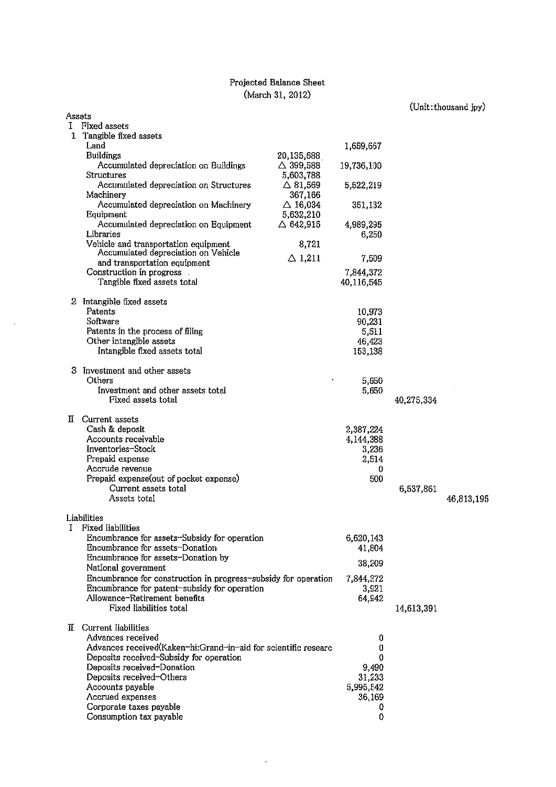## Projected Balance Sheet (March 31, 2012)

## $(\text{Unit:thousand jpy})$

| Assets |                                                                                                                |                               |                     |            |            |
|--------|----------------------------------------------------------------------------------------------------------------|-------------------------------|---------------------|------------|------------|
| L      | Fixed assets                                                                                                   |                               |                     |            |            |
|        | 1 Tangible fixed assets                                                                                        |                               |                     |            |            |
|        | Land                                                                                                           |                               | 1,659,667           |            |            |
|        | <b>Buildings</b>                                                                                               | 20,135,688                    |                     |            |            |
|        | Accumulated depreciation on Buildings                                                                          | $\triangle$ 399,588           | 19,736,100          |            |            |
|        | Structures                                                                                                     | 5,603,788                     |                     |            |            |
|        | Accumulated depreciation on Structures                                                                         | $\triangle$ 81,569            | 5,522,219           |            |            |
|        | Machinery<br>Accumulated depreciation on Machinery                                                             | 367,166<br>$\triangle$ 16,034 | 351,132             |            |            |
|        | Equipment                                                                                                      | 5,632,210                     |                     |            |            |
|        | Accumulated depreciation on Equipment                                                                          | $\triangle$ 642,915           | 4,989,295           |            |            |
|        | Libraries                                                                                                      |                               | 6,250               |            |            |
|        | Vehicle and transportation equipment                                                                           | 8,721                         |                     |            |            |
|        | Accumulated depreciation on Vehicle                                                                            | $\triangle$ 1,211             | 7,509               |            |            |
|        | and transportation equipment                                                                                   |                               |                     |            |            |
|        | Construction in progress                                                                                       |                               | 7,844,372           |            |            |
|        | Tangible fixed assets total                                                                                    |                               | 40,116,545          |            |            |
|        | 2 Intangible fixed assets                                                                                      |                               |                     |            |            |
|        | Patents                                                                                                        |                               | 10,973              |            |            |
|        | Software                                                                                                       |                               | 90,231              |            |            |
|        | Patents in the process of filing                                                                               |                               | 5,511               |            |            |
|        | Other intangible assets                                                                                        |                               | 46,423              |            |            |
|        | Intangible fixed assets total                                                                                  |                               | 153,138             |            |            |
|        |                                                                                                                |                               |                     |            |            |
|        | 3 Investment and other assets<br>Others                                                                        |                               |                     |            |            |
|        | Investment and other assets total                                                                              |                               | 5,650<br>5,650      |            |            |
|        | Fixed assets total                                                                                             |                               |                     | 40,275,334 |            |
|        |                                                                                                                |                               |                     |            |            |
|        | II Current assets                                                                                              |                               |                     |            |            |
|        | Cash & deposit                                                                                                 |                               | 2,387,224           |            |            |
|        | Accounts receivable                                                                                            |                               | 4,144,388           |            |            |
|        | Inventories-Stock                                                                                              |                               | 3,236               |            |            |
|        | Prepaid expense                                                                                                |                               | 2,514               |            |            |
|        | Accrude revenue                                                                                                |                               | 0                   |            |            |
|        | Prepaid expense (out of pocket expense)<br>Current assets total                                                |                               | 500                 | 6,537,861  |            |
|        | Assets total                                                                                                   |                               |                     |            | 46,813,195 |
|        |                                                                                                                |                               |                     |            |            |
|        | Liabilities                                                                                                    |                               |                     |            |            |
|        | Fixed liabilities                                                                                              |                               |                     |            |            |
|        | Encumbrance for assets-Subsidy for operation                                                                   |                               | 6,620,143           |            |            |
|        | Encumbrance for assets-Donation                                                                                |                               | 41,804              |            |            |
|        | Encumbrance for assets-Donation by                                                                             |                               | 38,209              |            |            |
|        | National government                                                                                            |                               |                     |            |            |
|        | Encumbrance for construction in progress-subsidy for operation<br>Encumbrance for patent-subsidy for operation |                               | 7,844,372<br>3,921  |            |            |
|        | Allowance-Retirement benefits                                                                                  |                               | 64,942              |            |            |
|        | Fixed liabilities total                                                                                        |                               |                     | 14,613,391 |            |
|        |                                                                                                                |                               |                     |            |            |
| II.    | Current liabilities                                                                                            |                               |                     |            |            |
|        | Advances received                                                                                              |                               | 0                   |            |            |
|        | Advances received(Kaken-hi:Grand-in-aid for scientific researc                                                 |                               | 0                   |            |            |
|        | Deposits received-Subsidy for operation                                                                        |                               | 0                   |            |            |
|        | Deposits received-Donation                                                                                     |                               | 9,490               |            |            |
|        | Deposits received-Others<br>Accounts payable                                                                   |                               | 31,233<br>5,995,542 |            |            |
|        | Accrued expenses                                                                                               |                               | 36,169              |            |            |
|        | Corporate taxes payable                                                                                        |                               | 0                   |            |            |
|        | Consumption tax payable                                                                                        |                               | 0                   |            |            |

 $\hat{\mathcal{A}}$ 

 $\bar{\mathcal{A}}$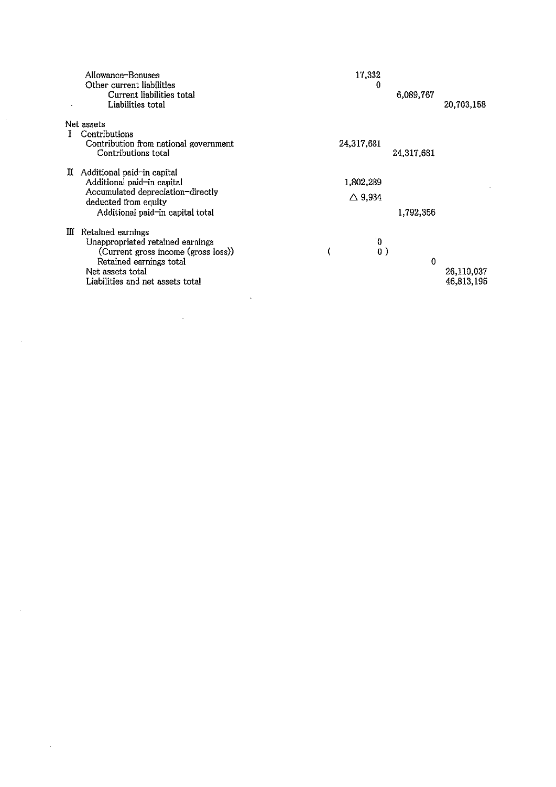| Allowance-Bonuses<br>Other current liabilities<br>Current liabilities total<br>Liabilities total                                                                                     | 17,332<br>0<br>6,089,767                    | 20,703,158               |
|--------------------------------------------------------------------------------------------------------------------------------------------------------------------------------------|---------------------------------------------|--------------------------|
| Net assets<br>L<br>Contributions<br>Contribution from national government<br>Contributions total                                                                                     | 24,317,681<br>24,317,681                    |                          |
| II Additional paid-in capital<br>Additional paid-in capital<br>Accumulated depreciation-directly<br>deducted from equity<br>Additional paid-in capital total                         | 1,802,289<br>$\triangle$ 9,934<br>1,792,356 |                          |
| Retained earnings<br>m<br>Unappropriated retained earnings<br>(Current gross income (gross loss))<br>Retained earnings total<br>Net assets total<br>Liabilities and net assets total | Ō.<br>(<br>0)<br>$\theta$                   | 26,110,037<br>46,813,195 |

 $\label{eq:2.1} \frac{1}{\sqrt{2}}\sum_{i=1}^n\frac{1}{\sqrt{2\pi}}\sum_{i=1}^n\frac{1}{\sqrt{2\pi}}\sum_{i=1}^n\frac{1}{\sqrt{2\pi}}\sum_{i=1}^n\frac{1}{\sqrt{2\pi}}\sum_{i=1}^n\frac{1}{\sqrt{2\pi}}\sum_{i=1}^n\frac{1}{\sqrt{2\pi}}\sum_{i=1}^n\frac{1}{\sqrt{2\pi}}\sum_{i=1}^n\frac{1}{\sqrt{2\pi}}\sum_{i=1}^n\frac{1}{\sqrt{2\pi}}\sum_{i=1}^n\frac{$ 

 $\label{eq:2.1} \frac{1}{\sqrt{2}}\sum_{i=1}^n\frac{1}{\sqrt{2}}\sum_{i=1}^n\frac{1}{\sqrt{2}}\sum_{i=1}^n\frac{1}{\sqrt{2}}\sum_{i=1}^n\frac{1}{\sqrt{2}}\sum_{i=1}^n\frac{1}{\sqrt{2}}\sum_{i=1}^n\frac{1}{\sqrt{2}}\sum_{i=1}^n\frac{1}{\sqrt{2}}\sum_{i=1}^n\frac{1}{\sqrt{2}}\sum_{i=1}^n\frac{1}{\sqrt{2}}\sum_{i=1}^n\frac{1}{\sqrt{2}}\sum_{i=1}^n\frac$ 

 $\mathcal{L}^{\text{max}}_{\text{max}}$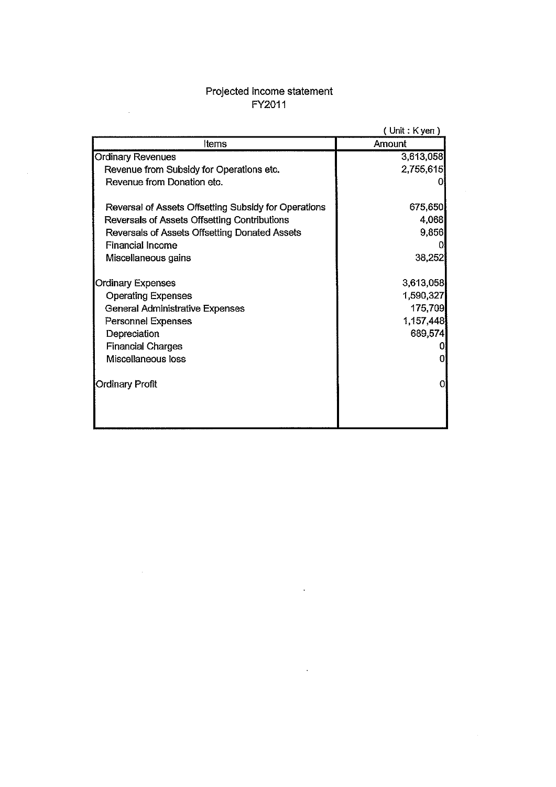# Projected income statement<br>FY2011

 $\mathcal{L}$ 

 $\sim 10^{-11}$ 

|                                                      | $($ Unit : K yen $)$ |  |  |
|------------------------------------------------------|----------------------|--|--|
| Items                                                | Amount               |  |  |
| <b>Ordinary Revenues</b>                             | 3,613,058            |  |  |
| Revenue from Subsidy for Operations etc.             | 2,755,615            |  |  |
| Revenue from Donation etc.                           |                      |  |  |
| Reversal of Assets Offsetting Subsidy for Operations | 675,650              |  |  |
| Reversals of Assets Offsetting Contributions         | 4,068                |  |  |
| Reversals of Assets Offsetting Donated Assets        | 9,856                |  |  |
| <b>Financial Income</b>                              |                      |  |  |
| Miscellaneous gains                                  | 38,252               |  |  |
| <b>Ordinary Expenses</b>                             | 3,613,058            |  |  |
| <b>Operating Expenses</b>                            | 1,590,327            |  |  |
| General Administrative Expenses                      | 175,709              |  |  |
| Personnel Expenses                                   | 1,157,448            |  |  |
| Depreciation                                         | 689,574              |  |  |
| <b>Financial Charges</b>                             |                      |  |  |
| Miscellaneous loss                                   | 0.                   |  |  |
| <b>Ordinary Profit</b>                               | $\overline{0}$       |  |  |
|                                                      |                      |  |  |

 $\ddot{\phantom{a}}$ 

 $\sim 10^7$ 

 $\sim 10^7$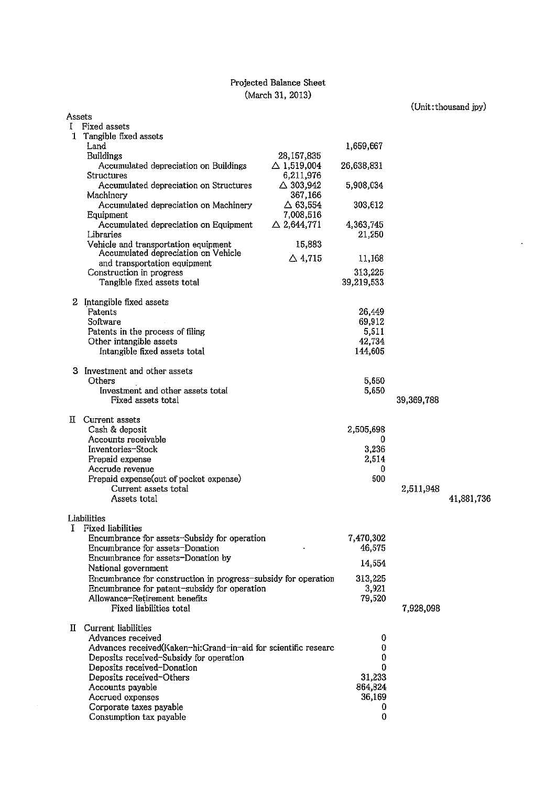## Projected Balance Sheet (March 31, 2013)

(Unit:thousand jpy)

 $\mathcal{L}$ 

|        |                                                                |                                    |                   |            | omr. modema ihi i |
|--------|----------------------------------------------------------------|------------------------------------|-------------------|------------|-------------------|
| Assets |                                                                |                                    |                   |            |                   |
| I      | Fixed assets<br>1 Tangible fixed assets                        |                                    |                   |            |                   |
|        | Land                                                           |                                    | 1,659,667         |            |                   |
|        | <b>Buildings</b>                                               | 28,157,835                         |                   |            |                   |
|        | Accumulated depreciation on Buildings                          | $\triangle$ 1,519,004              | 26,638,831        |            |                   |
|        | <b>Structures</b>                                              | 6,211,976                          |                   |            |                   |
|        | Accumulated depreciation on Structures                         | $\triangle$ 303,942                | 5,908,034         |            |                   |
|        | Machinery                                                      | 367,166                            |                   |            |                   |
|        | Accumulated depreciation on Machinery                          | $\Delta$ 63,554                    | 303,612           |            |                   |
|        | Equipment<br>Accumulated depreciation on Equipment             | 7,008,516<br>$\triangle$ 2,644,771 | 4,363,745         |            |                   |
|        | Libraries                                                      |                                    | 21,250            |            |                   |
|        | Vehicle and transportation equipment                           | 15,883                             |                   |            |                   |
|        | Accumulated depreciation on Vehicle                            | $\triangle$ 4,715                  | 11,168            |            |                   |
|        | and transportation equipment                                   |                                    |                   |            |                   |
|        | Construction in progress                                       |                                    | 313,225           |            |                   |
|        | Tangible fixed assets total                                    |                                    | 39,219,533        |            |                   |
|        | 2 Intangible fixed assets                                      |                                    |                   |            |                   |
|        | Patents                                                        |                                    | 26,449            |            |                   |
|        | Software                                                       |                                    | 69,912            |            |                   |
|        | Patents in the process of filing                               |                                    | 5,511             |            |                   |
|        | Other intangible assets                                        |                                    | 42,734            |            |                   |
|        | Intangible fixed assets total                                  |                                    | 144,605           |            |                   |
| з      | Investment and other assets                                    |                                    |                   |            |                   |
|        | Others                                                         |                                    | 5,650             |            |                   |
|        | Investment and other assets total                              |                                    | 5,650             |            |                   |
|        | Fixed assets total                                             |                                    |                   | 39,369,788 |                   |
|        |                                                                |                                    |                   |            |                   |
|        | <b>II</b> Current assets                                       |                                    |                   |            |                   |
|        | Cash & deposit                                                 |                                    | 2,505,698         |            |                   |
|        | Accounts receivable<br>Inventories-Stock                       |                                    | 0<br>3,236        |            |                   |
|        | Prepaid expense                                                |                                    | 2,514             |            |                   |
|        | Accrude revenue                                                |                                    | 0                 |            |                   |
|        | Prepaid expense (out of pocket expense)                        |                                    | 500               |            |                   |
|        | Current assets total                                           |                                    |                   | 2,511,948  |                   |
|        | Assets total                                                   |                                    |                   |            | 41,881,736        |
|        |                                                                |                                    |                   |            |                   |
| I      | Liabilities<br><b>Fixed liabilities</b>                        |                                    |                   |            |                   |
|        | Encumbrance for assets-Subsidy for operation                   |                                    | 7,470,302         |            |                   |
|        | Encumbrance for assets-Donation                                |                                    | 46,575            |            |                   |
|        | Encumbrance for assets-Donation by                             |                                    |                   |            |                   |
|        | National government                                            |                                    | 14,554            |            |                   |
|        | Encumbrance for construction in progress-subsidy for operation |                                    | 313,225           |            |                   |
|        | Encumbrance for patent-subsidy for operation                   |                                    | 3,921             |            |                   |
|        | Allowance-Retirement benefits<br>Fixed liabilities total       |                                    | 79,520            |            |                   |
|        |                                                                |                                    |                   | 7,928,098  |                   |
|        | II Current liabilities                                         |                                    |                   |            |                   |
|        | Advances received                                              |                                    | 0                 |            |                   |
|        | Advances received(Kaken-hi:Grand-in-aid for scientific researc |                                    | 0                 |            |                   |
|        | Deposits received-Subsidy for operation                        |                                    | 0                 |            |                   |
|        | Deposits received-Donation                                     |                                    | 0                 |            |                   |
|        | Deposits received-Others                                       |                                    | 31,233            |            |                   |
|        | Accounts payable<br>Accrued expenses                           |                                    | 864,824<br>36,169 |            |                   |
|        | Corporate taxes payable                                        |                                    | 0                 |            |                   |
|        | Consumption tax payable                                        |                                    | 0                 |            |                   |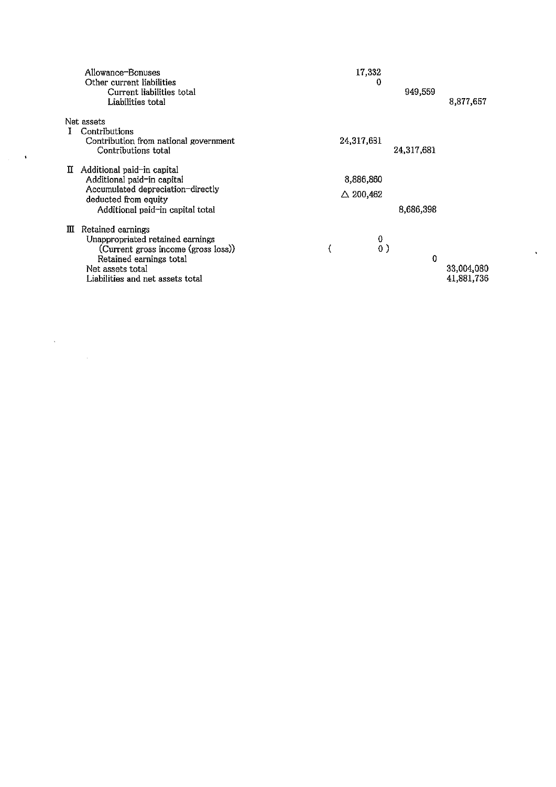|    | Allowance-Bonuses<br>Other current liabilities<br>Current liabilities total<br>Liabilities total                                                                                | 17,332<br>o         | 949,559    | 8,877,657                |
|----|---------------------------------------------------------------------------------------------------------------------------------------------------------------------------------|---------------------|------------|--------------------------|
| 1. | Net assets<br>Contributions                                                                                                                                                     |                     |            |                          |
|    | Contribution from national government<br>Contributions total                                                                                                                    | 24,317,681          | 24,317,681 |                          |
| П  | Additional paid-in capital<br>Additional paid-in capital                                                                                                                        | 8,886,860           |            |                          |
|    | Accumulated depreciation-directly<br>deducted from equity                                                                                                                       | $\triangle$ 200,462 |            |                          |
|    | Additional paid-in capital total                                                                                                                                                |                     | 8,686,398  |                          |
| Ш  | Retained earnings<br>Unappropriated retained earnings<br>(Current gross income (gross loss))<br>Retained earnings total<br>Net assets total<br>Liabilities and net assets total | 0<br>0)             | 0          | 33,004,080<br>41,881,736 |

 $\mathcal{C}^{\mathcal{C}}$ 

 $\label{eq:2} \frac{1}{\sqrt{2}}\left(\frac{1}{\sqrt{2}}\right)^2\left(\frac{1}{2}\right)^2\left(\frac{1}{2}\right)^2.$